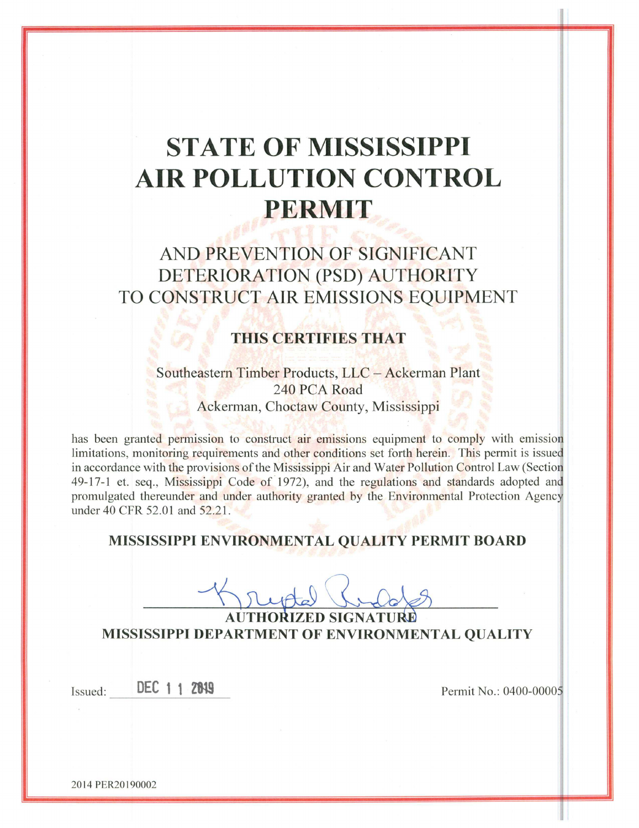# **STATE OF MISSISSIPPI** AIR POLLUTION CONTROL **PERMIT**

# AND PREVENTION OF SIGNIFICANT DETERIORATION (PSD) AUTHORITY TO CONSTRUCT AIR EMISSIONS EQUIPMENT

# **THIS CERTIFIES THAT**

Southeastern Timber Products, LLC - Ackerman Plant 240 PCA Road Ackerman, Choctaw County, Mississippi

has been granted permission to construct air emissions equipment to comply with emission limitations, monitoring requirements and other conditions set forth herein. This permit is issued in accordance with the provisions of the Mississippi Air and Water Pollution Control Law (Section 49-17-1 et. seq., Mississippi Code of 1972), and the regulations and standards adopted and promulgated thereunder and under authority granted by the Environmental Protection Agency under 40 CFR 52.01 and 52.21.

# MISSISSIPPI ENVIRONMENTAL QUALITY PERMIT BOARD

AUTHORIZED SIGNATURI MISSISSIPPI DEPARTMENT OF ENVIRONMENTAL QUALITY

Issued:

DEC 1 1 2819

Permit No.: 0400-00005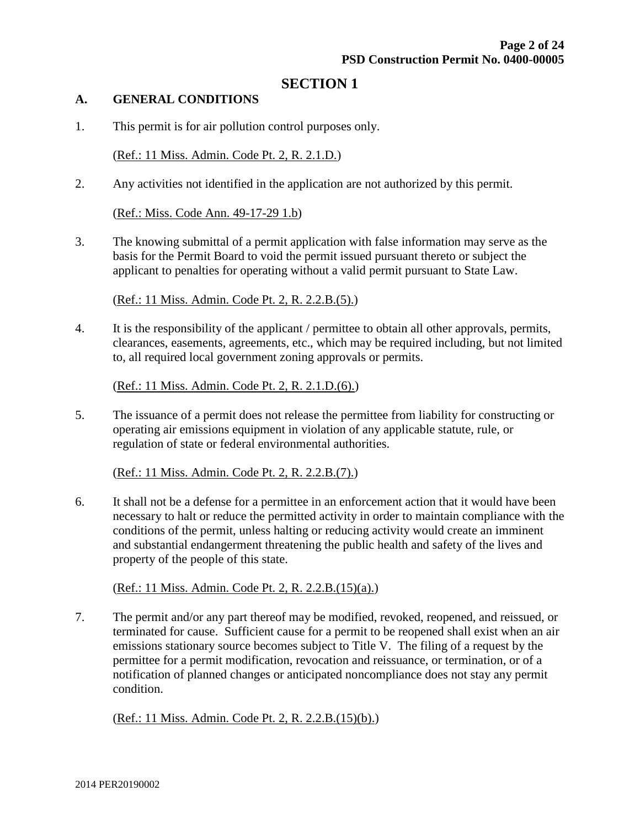# **SECTION 1**

#### **A. GENERAL CONDITIONS**

1. This permit is for air pollution control purposes only.

(Ref.: 11 Miss. Admin. Code Pt. 2, R. 2.1.D.)

2. Any activities not identified in the application are not authorized by this permit.

(Ref.: Miss. Code Ann. 49-17-29 1.b)

3. The knowing submittal of a permit application with false information may serve as the basis for the Permit Board to void the permit issued pursuant thereto or subject the applicant to penalties for operating without a valid permit pursuant to State Law.

(Ref.: 11 Miss. Admin. Code Pt. 2, R. 2.2.B.(5).)

4. It is the responsibility of the applicant / permittee to obtain all other approvals, permits, clearances, easements, agreements, etc., which may be required including, but not limited to, all required local government zoning approvals or permits.

(Ref.: 11 Miss. Admin. Code Pt. 2, R. 2.1.D.(6).)

5. The issuance of a permit does not release the permittee from liability for constructing or operating air emissions equipment in violation of any applicable statute, rule, or regulation of state or federal environmental authorities.

(Ref.: 11 Miss. Admin. Code Pt. 2, R. 2.2.B.(7).)

6. It shall not be a defense for a permittee in an enforcement action that it would have been necessary to halt or reduce the permitted activity in order to maintain compliance with the conditions of the permit, unless halting or reducing activity would create an imminent and substantial endangerment threatening the public health and safety of the lives and property of the people of this state.

(Ref.: 11 Miss. Admin. Code Pt. 2, R. 2.2.B.(15)(a).)

7. The permit and/or any part thereof may be modified, revoked, reopened, and reissued, or terminated for cause. Sufficient cause for a permit to be reopened shall exist when an air emissions stationary source becomes subject to Title V. The filing of a request by the permittee for a permit modification, revocation and reissuance, or termination, or of a notification of planned changes or anticipated noncompliance does not stay any permit condition.

(Ref.: 11 Miss. Admin. Code Pt. 2, R. 2.2.B.(15)(b).)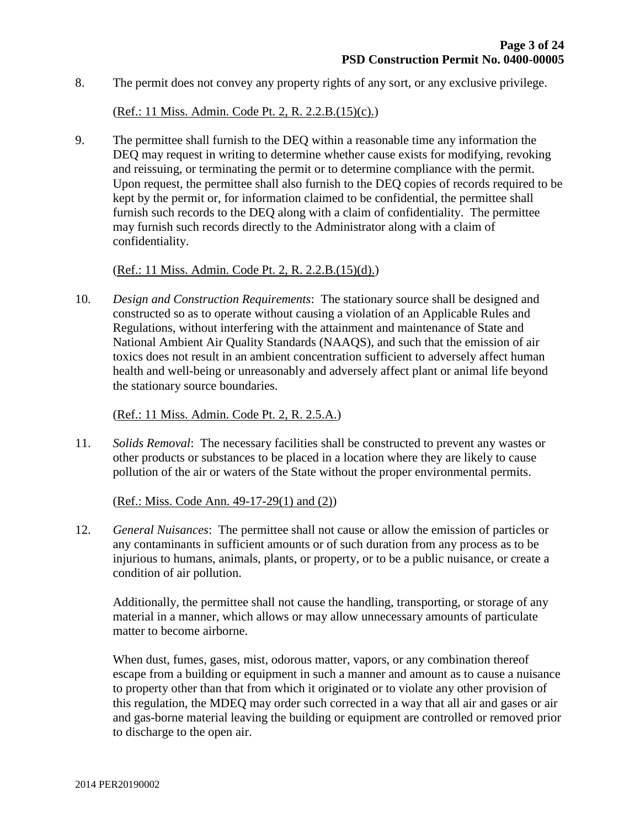8. The permit does not convey any property rights of any sort, or any exclusive privilege.

#### (Ref.: 11 Miss. Admin. Code Pt. 2, R. 2.2.B.(15)(c).)

9. The permittee shall furnish to the DEQ within a reasonable time any information the DEQ may request in writing to determine whether cause exists for modifying, revoking and reissuing, or terminating the permit or to determine compliance with the permit. Upon request, the permittee shall also furnish to the DEQ copies of records required to be kept by the permit or, for information claimed to be confidential, the permittee shall furnish such records to the DEQ along with a claim of confidentiality. The permittee may furnish such records directly to the Administrator along with a claim of confidentiality.

#### (Ref.: 11 Miss. Admin. Code Pt. 2, R. 2.2.B.(15)(d).)

10. *Design and Construction Requirements*: The stationary source shall be designed and constructed so as to operate without causing a violation of an Applicable Rules and Regulations, without interfering with the attainment and maintenance of State and National Ambient Air Quality Standards (NAAQS), and such that the emission of air toxics does not result in an ambient concentration sufficient to adversely affect human health and well-being or unreasonably and adversely affect plant or animal life beyond the stationary source boundaries.

#### (Ref.: 11 Miss. Admin. Code Pt. 2, R. 2.5.A.)

11. *Solids Removal*: The necessary facilities shall be constructed to prevent any wastes or other products or substances to be placed in a location where they are likely to cause pollution of the air or waters of the State without the proper environmental permits.

#### (Ref.: Miss. Code Ann. 49-17-29(1) and (2))

12. *General Nuisances*: The permittee shall not cause or allow the emission of particles or any contaminants in sufficient amounts or of such duration from any process as to be injurious to humans, animals, plants, or property, or to be a public nuisance, or create a condition of air pollution.

Additionally, the permittee shall not cause the handling, transporting, or storage of any material in a manner, which allows or may allow unnecessary amounts of particulate matter to become airborne.

When dust, fumes, gases, mist, odorous matter, vapors, or any combination thereof escape from a building or equipment in such a manner and amount as to cause a nuisance to property other than that from which it originated or to violate any other provision of this regulation, the MDEQ may order such corrected in a way that all air and gases or air and gas-borne material leaving the building or equipment are controlled or removed prior to discharge to the open air.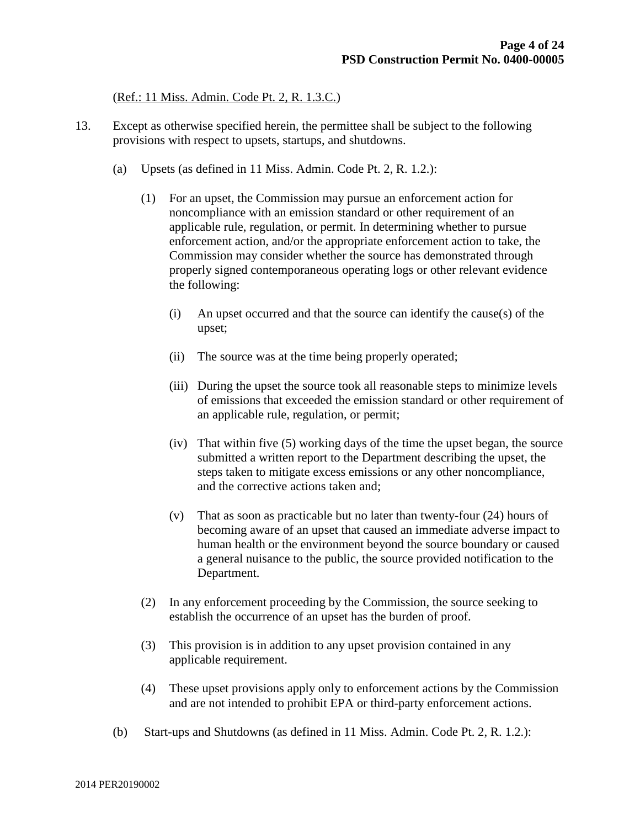#### (Ref.: 11 Miss. Admin. Code Pt. 2, R. 1.3.C.)

- 13. Except as otherwise specified herein, the permittee shall be subject to the following provisions with respect to upsets, startups, and shutdowns.
	- (a) Upsets (as defined in 11 Miss. Admin. Code Pt. 2, R. 1.2.):
		- (1) For an upset, the Commission may pursue an enforcement action for noncompliance with an emission standard or other requirement of an applicable rule, regulation, or permit. In determining whether to pursue enforcement action, and/or the appropriate enforcement action to take, the Commission may consider whether the source has demonstrated through properly signed contemporaneous operating logs or other relevant evidence the following:
			- (i) An upset occurred and that the source can identify the cause(s) of the upset;
			- (ii) The source was at the time being properly operated;
			- (iii) During the upset the source took all reasonable steps to minimize levels of emissions that exceeded the emission standard or other requirement of an applicable rule, regulation, or permit;
			- (iv) That within five (5) working days of the time the upset began, the source submitted a written report to the Department describing the upset, the steps taken to mitigate excess emissions or any other noncompliance, and the corrective actions taken and;
			- (v) That as soon as practicable but no later than twenty-four (24) hours of becoming aware of an upset that caused an immediate adverse impact to human health or the environment beyond the source boundary or caused a general nuisance to the public, the source provided notification to the Department.
		- (2) In any enforcement proceeding by the Commission, the source seeking to establish the occurrence of an upset has the burden of proof.
		- (3) This provision is in addition to any upset provision contained in any applicable requirement.
		- (4) These upset provisions apply only to enforcement actions by the Commission and are not intended to prohibit EPA or third-party enforcement actions.
	- (b) Start-ups and Shutdowns (as defined in 11 Miss. Admin. Code Pt. 2, R. 1.2.):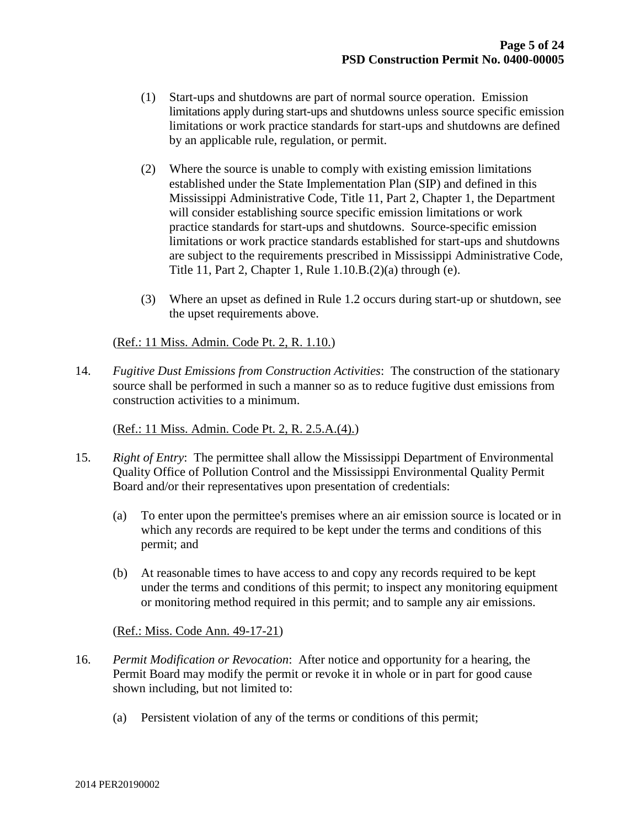- (1) Start-ups and shutdowns are part of normal source operation. Emission limitations apply during start-ups and shutdowns unless source specific emission limitations or work practice standards for start-ups and shutdowns are defined by an applicable rule, regulation, or permit.
- (2) Where the source is unable to comply with existing emission limitations established under the State Implementation Plan (SIP) and defined in this Mississippi Administrative Code, Title 11, Part 2, Chapter 1, the Department will consider establishing source specific emission limitations or work practice standards for start-ups and shutdowns. Source-specific emission limitations or work practice standards established for start-ups and shutdowns are subject to the requirements prescribed in Mississippi Administrative Code, Title 11, Part 2, Chapter 1, Rule 1.10.B.(2)(a) through (e).
- (3) Where an upset as defined in Rule 1.2 occurs during start-up or shutdown, see the upset requirements above.

(Ref.: 11 Miss. Admin. Code Pt. 2, R. 1.10.)

14. *Fugitive Dust Emissions from Construction Activities*: The construction of the stationary source shall be performed in such a manner so as to reduce fugitive dust emissions from construction activities to a minimum.

(Ref.: 11 Miss. Admin. Code Pt. 2, R. 2.5.A.(4).)

- 15. *Right of Entry*: The permittee shall allow the Mississippi Department of Environmental Quality Office of Pollution Control and the Mississippi Environmental Quality Permit Board and/or their representatives upon presentation of credentials:
	- (a) To enter upon the permittee's premises where an air emission source is located or in which any records are required to be kept under the terms and conditions of this permit; and
	- (b) At reasonable times to have access to and copy any records required to be kept under the terms and conditions of this permit; to inspect any monitoring equipment or monitoring method required in this permit; and to sample any air emissions.

### (Ref.: Miss. Code Ann. 49-17-21)

- 16. *Permit Modification or Revocation*: After notice and opportunity for a hearing, the Permit Board may modify the permit or revoke it in whole or in part for good cause shown including, but not limited to:
	- (a) Persistent violation of any of the terms or conditions of this permit;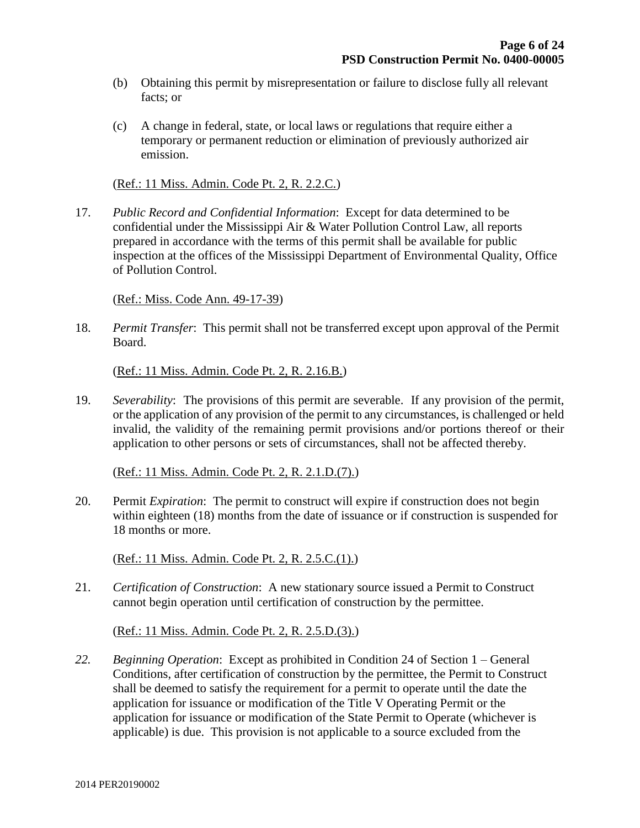- (b) Obtaining this permit by misrepresentation or failure to disclose fully all relevant facts; or
- (c) A change in federal, state, or local laws or regulations that require either a temporary or permanent reduction or elimination of previously authorized air emission.

(Ref.: 11 Miss. Admin. Code Pt. 2, R. 2.2.C.)

17. *Public Record and Confidential Information*: Except for data determined to be confidential under the Mississippi Air & Water Pollution Control Law, all reports prepared in accordance with the terms of this permit shall be available for public inspection at the offices of the Mississippi Department of Environmental Quality, Office of Pollution Control.

(Ref.: Miss. Code Ann. 49-17-39)

18. *Permit Transfer*: This permit shall not be transferred except upon approval of the Permit Board.

(Ref.: 11 Miss. Admin. Code Pt. 2, R. 2.16.B.)

19. *Severability*: The provisions of this permit are severable. If any provision of the permit, or the application of any provision of the permit to any circumstances, is challenged or held invalid, the validity of the remaining permit provisions and/or portions thereof or their application to other persons or sets of circumstances, shall not be affected thereby.

(Ref.: 11 Miss. Admin. Code Pt. 2, R. 2.1.D.(7).)

20. Permit *Expiration*: The permit to construct will expire if construction does not begin within eighteen (18) months from the date of issuance or if construction is suspended for 18 months or more.

(Ref.: 11 Miss. Admin. Code Pt. 2, R. 2.5.C.(1).)

21. *Certification of Construction*: A new stationary source issued a Permit to Construct cannot begin operation until certification of construction by the permittee.

(Ref.: 11 Miss. Admin. Code Pt. 2, R. 2.5.D.(3).)

*22. Beginning Operation*: Except as prohibited in Condition 24 of Section 1 – General Conditions, after certification of construction by the permittee, the Permit to Construct shall be deemed to satisfy the requirement for a permit to operate until the date the application for issuance or modification of the Title V Operating Permit or the application for issuance or modification of the State Permit to Operate (whichever is applicable) is due. This provision is not applicable to a source excluded from the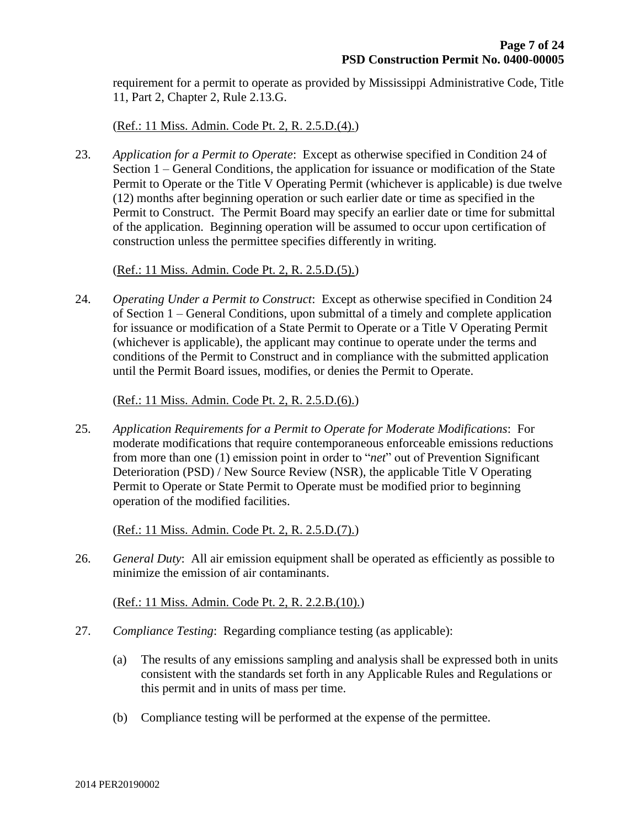requirement for a permit to operate as provided by Mississippi Administrative Code, Title 11, Part 2, Chapter 2, Rule 2.13.G.

(Ref.: 11 Miss. Admin. Code Pt. 2, R. 2.5.D.(4).)

23. *Application for a Permit to Operate*: Except as otherwise specified in Condition 24 of Section 1 – General Conditions, the application for issuance or modification of the State Permit to Operate or the Title V Operating Permit (whichever is applicable) is due twelve (12) months after beginning operation or such earlier date or time as specified in the Permit to Construct. The Permit Board may specify an earlier date or time for submittal of the application. Beginning operation will be assumed to occur upon certification of construction unless the permittee specifies differently in writing.

(Ref.: 11 Miss. Admin. Code Pt. 2, R. 2.5.D.(5).)

24. *Operating Under a Permit to Construct*: Except as otherwise specified in Condition 24 of Section 1 – General Conditions, upon submittal of a timely and complete application for issuance or modification of a State Permit to Operate or a Title V Operating Permit (whichever is applicable), the applicant may continue to operate under the terms and conditions of the Permit to Construct and in compliance with the submitted application until the Permit Board issues, modifies, or denies the Permit to Operate.

(Ref.: 11 Miss. Admin. Code Pt. 2, R. 2.5.D.(6).)

25. *Application Requirements for a Permit to Operate for Moderate Modifications*: For moderate modifications that require contemporaneous enforceable emissions reductions from more than one (1) emission point in order to "*net*" out of Prevention Significant Deterioration (PSD) / New Source Review (NSR), the applicable Title V Operating Permit to Operate or State Permit to Operate must be modified prior to beginning operation of the modified facilities.

(Ref.: 11 Miss. Admin. Code Pt. 2, R. 2.5.D.(7).)

26. *General Duty*: All air emission equipment shall be operated as efficiently as possible to minimize the emission of air contaminants.

(Ref.: 11 Miss. Admin. Code Pt. 2, R. 2.2.B.(10).)

- 27. *Compliance Testing*: Regarding compliance testing (as applicable):
	- (a) The results of any emissions sampling and analysis shall be expressed both in units consistent with the standards set forth in any Applicable Rules and Regulations or this permit and in units of mass per time.
	- (b) Compliance testing will be performed at the expense of the permittee.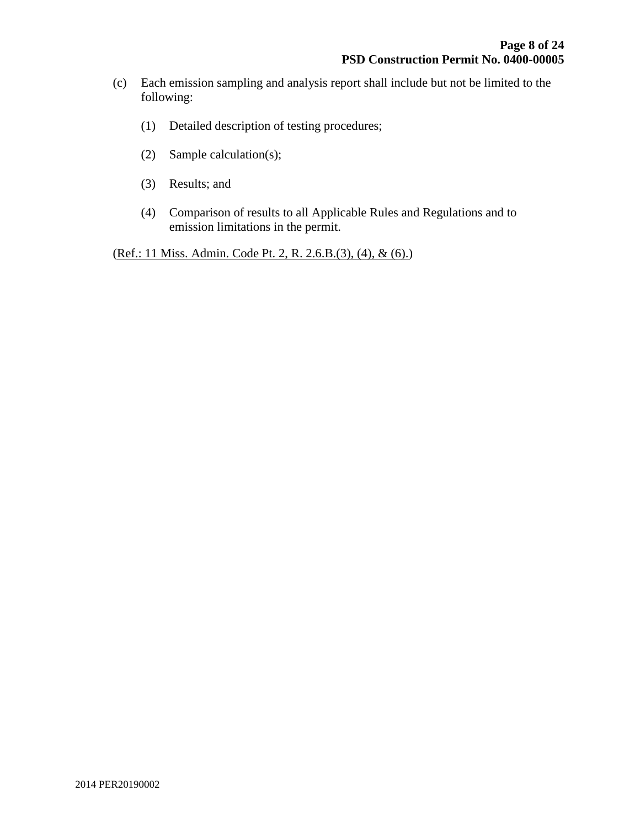- (c) Each emission sampling and analysis report shall include but not be limited to the following:
	- (1) Detailed description of testing procedures;
	- (2) Sample calculation(s);
	- (3) Results; and
	- (4) Comparison of results to all Applicable Rules and Regulations and to emission limitations in the permit.

(Ref.: 11 Miss. Admin. Code Pt. 2, R. 2.6.B.(3), (4), & (6).)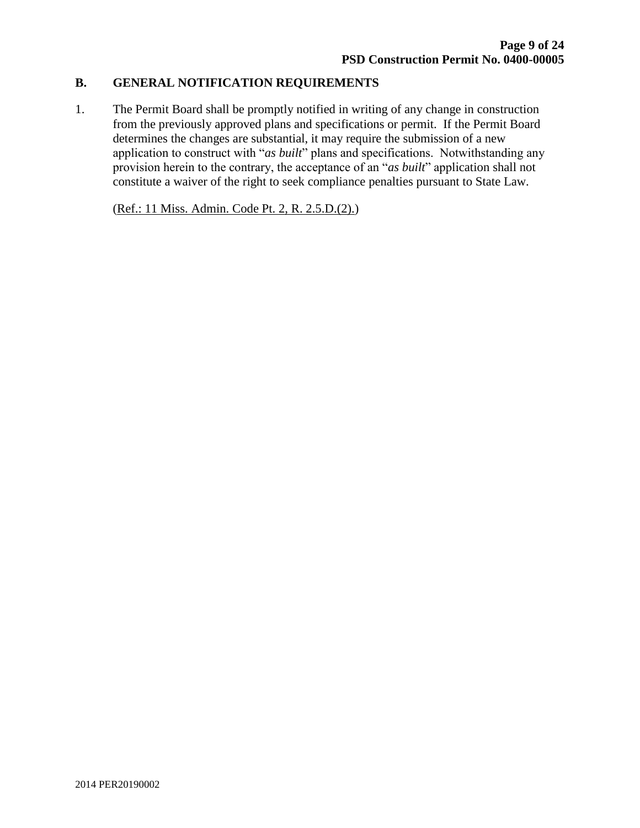### **B. GENERAL NOTIFICATION REQUIREMENTS**

1. The Permit Board shall be promptly notified in writing of any change in construction from the previously approved plans and specifications or permit. If the Permit Board determines the changes are substantial, it may require the submission of a new application to construct with "*as built*" plans and specifications. Notwithstanding any provision herein to the contrary, the acceptance of an "*as built*" application shall not constitute a waiver of the right to seek compliance penalties pursuant to State Law.

(Ref.: 11 Miss. Admin. Code Pt. 2, R. 2.5.D.(2).)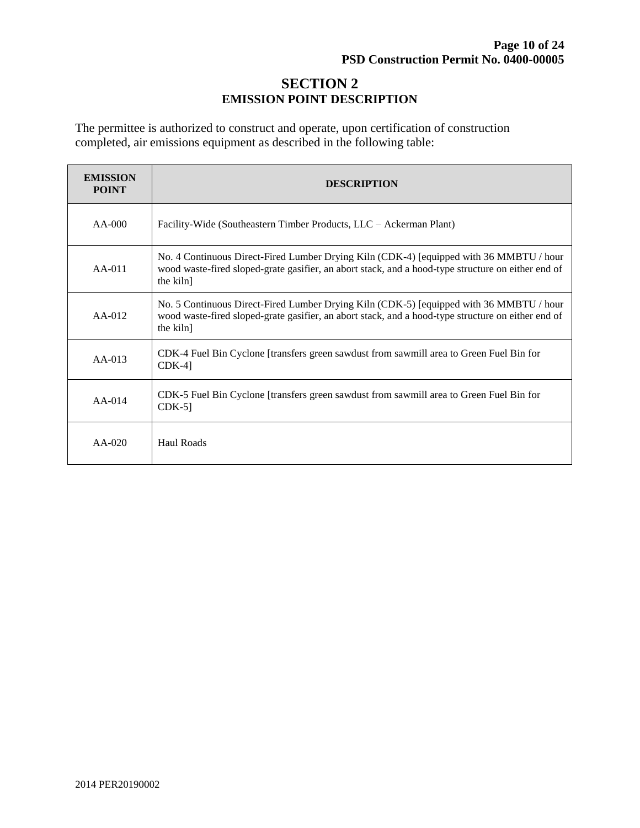# **SECTION 2 EMISSION POINT DESCRIPTION**

The permittee is authorized to construct and operate, upon certification of construction completed, air emissions equipment as described in the following table:

| <b>EMISSION</b><br><b>POINT</b> | <b>DESCRIPTION</b>                                                                                                                                                                                         |
|---------------------------------|------------------------------------------------------------------------------------------------------------------------------------------------------------------------------------------------------------|
| $AA-000$                        | Facility-Wide (Southeastern Timber Products, LLC – Ackerman Plant)                                                                                                                                         |
| $AA-011$                        | No. 4 Continuous Direct-Fired Lumber Drying Kiln (CDK-4) [equipped with 36 MMBTU / hour<br>wood waste-fired sloped-grate gasifier, an abort stack, and a hood-type structure on either end of<br>the kiln] |
| $AA-012$                        | No. 5 Continuous Direct-Fired Lumber Drying Kiln (CDK-5) [equipped with 36 MMBTU / hour<br>wood waste-fired sloped-grate gasifier, an abort stack, and a hood-type structure on either end of<br>the kiln] |
| $AA-013$                        | CDK-4 Fuel Bin Cyclone [transfers green sawdust from sawmill area to Green Fuel Bin for<br>$CDK-4$ ]                                                                                                       |
| $AA-014$                        | CDK-5 Fuel Bin Cyclone [transfers green sawdust from sawmill area to Green Fuel Bin for<br>$CDK-5$ ]                                                                                                       |
| $AA-020$                        | Haul Roads                                                                                                                                                                                                 |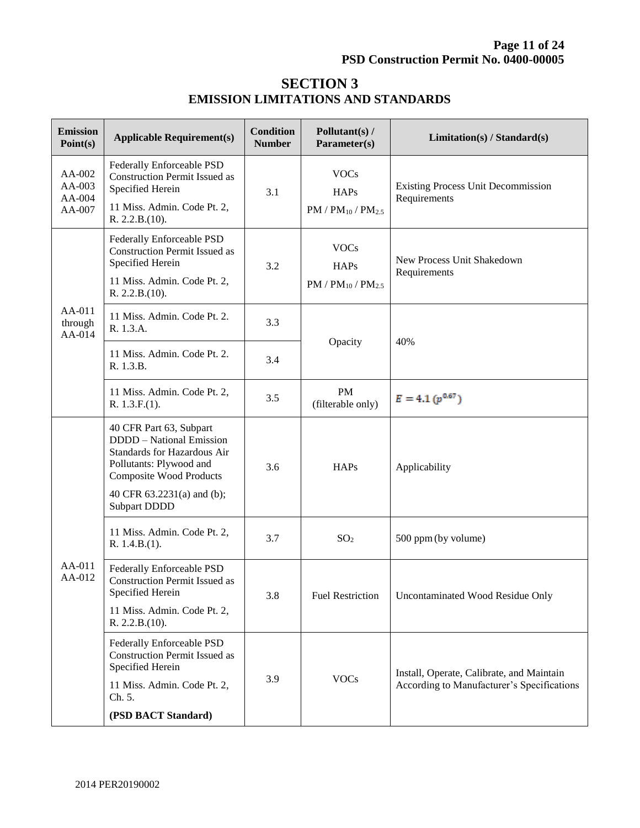# **SECTION 3 EMISSION LIMITATIONS AND STANDARDS**

| <b>Emission</b><br>Point(s)          | <b>Applicable Requirement(s)</b>                                                                                                                                                                     | <b>Condition</b><br><b>Number</b> | Pollutant(s) /<br>Parameter(s)                          | Limitation(s) / Standard(s)                                                             |
|--------------------------------------|------------------------------------------------------------------------------------------------------------------------------------------------------------------------------------------------------|-----------------------------------|---------------------------------------------------------|-----------------------------------------------------------------------------------------|
| AA-002<br>AA-003<br>AA-004<br>AA-007 | Federally Enforceable PSD<br><b>Construction Permit Issued as</b><br>Specified Herein<br>11 Miss. Admin. Code Pt. 2,<br>R. 2.2.B.(10).                                                               | 3.1                               | <b>VOCs</b><br><b>HAPs</b><br>$PM / PM_{10} / PM_{2.5}$ | <b>Existing Process Unit Decommission</b><br>Requirements                               |
| AA-011<br>through<br>$AA-014$        | Federally Enforceable PSD<br><b>Construction Permit Issued as</b><br>Specified Herein<br>11 Miss. Admin. Code Pt. 2,<br>R. 2.2.B.(10).                                                               | 3.2                               | <b>VOCs</b><br><b>HAPs</b><br>$PM / PM_{10} / PM_{2.5}$ | New Process Unit Shakedown<br>Requirements                                              |
|                                      | 11 Miss. Admin. Code Pt. 2.<br>R. 1.3.A.                                                                                                                                                             | 3.3                               |                                                         | 40%                                                                                     |
|                                      | 11 Miss. Admin. Code Pt. 2.<br>R. 1.3.B.                                                                                                                                                             | 3.4                               | Opacity                                                 |                                                                                         |
|                                      | 11 Miss. Admin. Code Pt. 2,<br>R. 1.3.F.(1).                                                                                                                                                         | 3.5                               | <b>PM</b><br>(filterable only)                          | $E = 4.1 (p^{0.67})$                                                                    |
| AA-011<br>AA-012                     | 40 CFR Part 63, Subpart<br>DDDD - National Emission<br>Standards for Hazardous Air<br>Pollutants: Plywood and<br><b>Composite Wood Products</b><br>40 CFR 63.2231(a) and (b);<br><b>Subpart DDDD</b> | 3.6                               | <b>HAPs</b>                                             | Applicability                                                                           |
|                                      | 11 Miss. Admin. Code Pt. 2,<br>R. 1.4.B.(1).                                                                                                                                                         | 3.7                               | SO <sub>2</sub>                                         | 500 ppm (by volume)                                                                     |
|                                      | Federally Enforceable PSD<br><b>Construction Permit Issued as</b><br>Specified Herein<br>11 Miss. Admin. Code Pt. 2,<br>R. 2.2.B.(10).                                                               | 3.8                               | <b>Fuel Restriction</b>                                 | Uncontaminated Wood Residue Only                                                        |
|                                      | Federally Enforceable PSD<br><b>Construction Permit Issued as</b><br>Specified Herein<br>11 Miss. Admin. Code Pt. 2,<br>Ch. 5.<br>(PSD BACT Standard)                                                | 3.9                               | <b>VOCs</b>                                             | Install, Operate, Calibrate, and Maintain<br>According to Manufacturer's Specifications |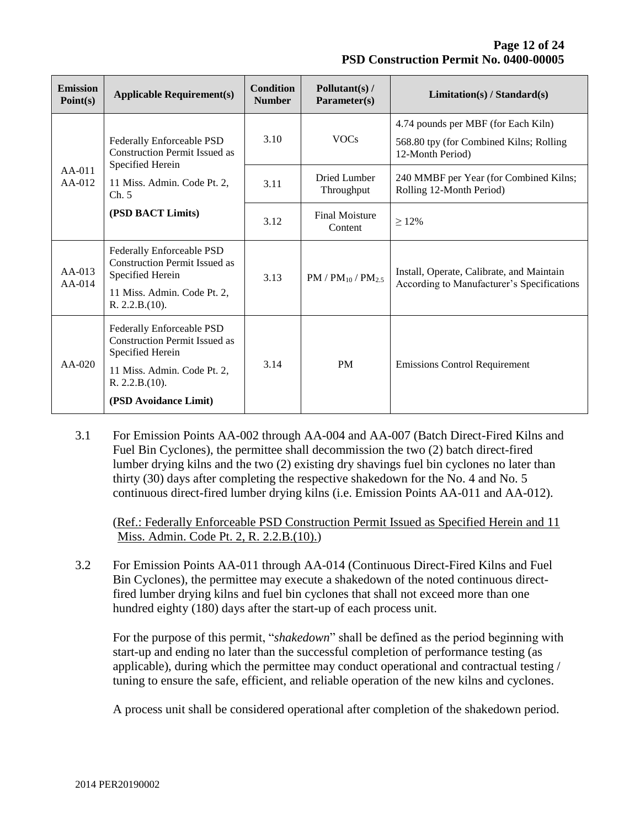**Page 12 of 24 PSD Construction Permit No. 0400-00005**

| <b>Emission</b><br>Point(s) | <b>Applicable Requirement(s)</b>                                                                                              | <b>Condition</b><br><b>Number</b> | Pollutant(s) /<br>Parameter(s)   | Limitation(s) / Standard(s)                                                             |
|-----------------------------|-------------------------------------------------------------------------------------------------------------------------------|-----------------------------------|----------------------------------|-----------------------------------------------------------------------------------------|
| $AA-011$<br>$AA-012$        | Federally Enforceable PSD<br><b>Construction Permit Issued as</b><br>Specified Herein<br>11 Miss. Admin. Code Pt. 2,<br>Ch. 5 | 3.10                              | <b>VOCs</b>                      | 4.74 pounds per MBF (for Each Kiln)<br>568.80 tpy (for Combined Kilns; Rolling          |
|                             |                                                                                                                               |                                   |                                  | 12-Month Period)                                                                        |
|                             |                                                                                                                               | 3.11                              | Dried Lumber<br>Throughput       | 240 MMBF per Year (for Combined Kilns;<br>Rolling 12-Month Period)                      |
|                             | (PSD BACT Limits)                                                                                                             | 3.12                              | <b>Final Moisture</b><br>Content | $>12\%$                                                                                 |
| $AA-013$<br>$AA-014$        | Federally Enforceable PSD<br><b>Construction Permit Issued as</b><br>Specified Herein                                         | 3.13                              | $PM / PM_{10} / PM_{25}$         | Install, Operate, Calibrate, and Maintain<br>According to Manufacturer's Specifications |
|                             | 11 Miss. Admin. Code Pt. 2,<br>R. 2.2.B.(10).                                                                                 |                                   |                                  |                                                                                         |
| $AA-020$                    | Federally Enforceable PSD<br><b>Construction Permit Issued as</b>                                                             | 3.14                              | <b>PM</b>                        | <b>Emissions Control Requirement</b>                                                    |
|                             | Specified Herein<br>11 Miss. Admin. Code Pt. 2,                                                                               |                                   |                                  |                                                                                         |
|                             | R. 2.2.B.(10).                                                                                                                |                                   |                                  |                                                                                         |
|                             | (PSD Avoidance Limit)                                                                                                         |                                   |                                  |                                                                                         |

3.1 For Emission Points AA-002 through AA-004 and AA-007 (Batch Direct-Fired Kilns and Fuel Bin Cyclones), the permittee shall decommission the two (2) batch direct-fired lumber drying kilns and the two (2) existing dry shavings fuel bin cyclones no later than thirty (30) days after completing the respective shakedown for the No. 4 and No. 5 continuous direct-fired lumber drying kilns (i.e. Emission Points AA-011 and AA-012).

(Ref.: Federally Enforceable PSD Construction Permit Issued as Specified Herein and 11 Miss. Admin. Code Pt. 2, R. 2.2.B.(10).)

3.2 For Emission Points AA-011 through AA-014 (Continuous Direct-Fired Kilns and Fuel Bin Cyclones), the permittee may execute a shakedown of the noted continuous directfired lumber drying kilns and fuel bin cyclones that shall not exceed more than one hundred eighty (180) days after the start-up of each process unit.

For the purpose of this permit, "*shakedown*" shall be defined as the period beginning with start-up and ending no later than the successful completion of performance testing (as applicable), during which the permittee may conduct operational and contractual testing / tuning to ensure the safe, efficient, and reliable operation of the new kilns and cyclones.

A process unit shall be considered operational after completion of the shakedown period.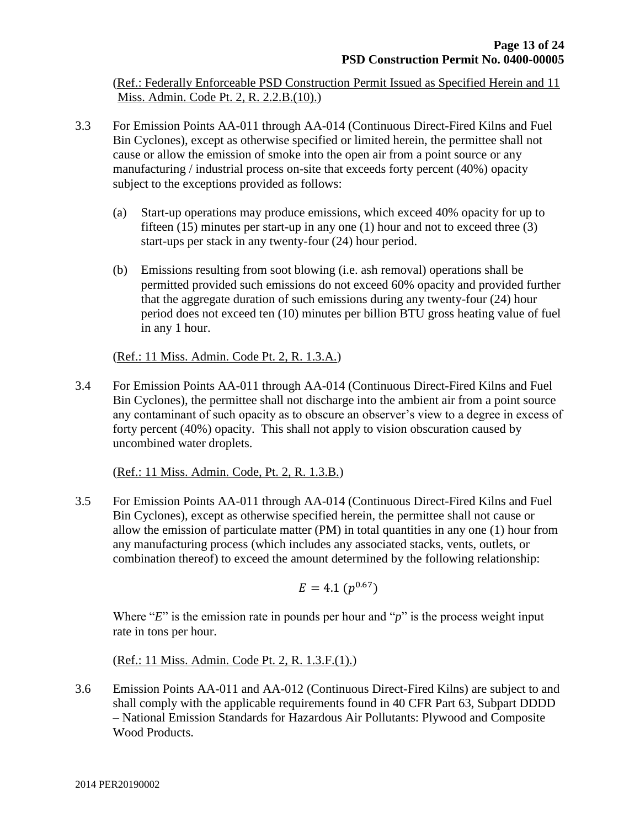(Ref.: Federally Enforceable PSD Construction Permit Issued as Specified Herein and 11 Miss. Admin. Code Pt. 2, R. 2.2.B.(10).)

- 3.3 For Emission Points AA-011 through AA-014 (Continuous Direct-Fired Kilns and Fuel Bin Cyclones), except as otherwise specified or limited herein, the permittee shall not cause or allow the emission of smoke into the open air from a point source or any manufacturing / industrial process on-site that exceeds forty percent (40%) opacity subject to the exceptions provided as follows:
	- (a) Start-up operations may produce emissions, which exceed 40% opacity for up to fifteen  $(15)$  minutes per start-up in any one  $(1)$  hour and not to exceed three  $(3)$ start-ups per stack in any twenty-four (24) hour period.
	- (b) Emissions resulting from soot blowing (i.e. ash removal) operations shall be permitted provided such emissions do not exceed 60% opacity and provided further that the aggregate duration of such emissions during any twenty-four (24) hour period does not exceed ten (10) minutes per billion BTU gross heating value of fuel in any 1 hour.

(Ref.: 11 Miss. Admin. Code Pt. 2, R. 1.3.A.)

3.4 For Emission Points AA-011 through AA-014 (Continuous Direct-Fired Kilns and Fuel Bin Cyclones), the permittee shall not discharge into the ambient air from a point source any contaminant of such opacity as to obscure an observer's view to a degree in excess of forty percent (40%) opacity. This shall not apply to vision obscuration caused by uncombined water droplets.

(Ref.: 11 Miss. Admin. Code, Pt. 2, R. 1.3.B.)

3.5 For Emission Points AA-011 through AA-014 (Continuous Direct-Fired Kilns and Fuel Bin Cyclones), except as otherwise specified herein, the permittee shall not cause or allow the emission of particulate matter (PM) in total quantities in any one (1) hour from any manufacturing process (which includes any associated stacks, vents, outlets, or combination thereof) to exceed the amount determined by the following relationship:

$$
E=4.1\ (p^{0.67})
$$

Where "*E*" is the emission rate in pounds per hour and "*p*" is the process weight input rate in tons per hour.

(Ref.: 11 Miss. Admin. Code Pt. 2, R. 1.3.F.(1).)

3.6 Emission Points AA-011 and AA-012 (Continuous Direct-Fired Kilns) are subject to and shall comply with the applicable requirements found in 40 CFR Part 63, Subpart DDDD – National Emission Standards for Hazardous Air Pollutants: Plywood and Composite Wood Products.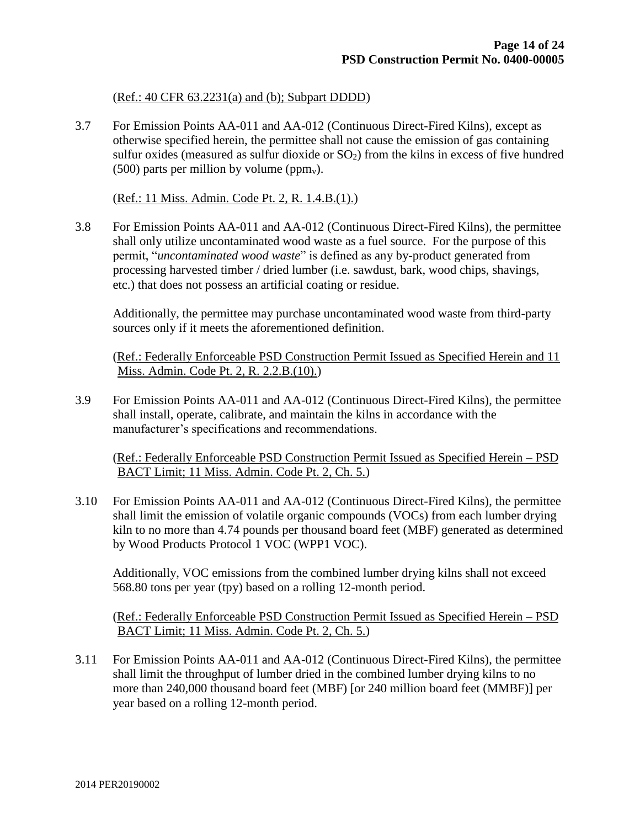(Ref.: 40 CFR 63.2231(a) and (b); Subpart DDDD)

3.7 For Emission Points AA-011 and AA-012 (Continuous Direct-Fired Kilns), except as otherwise specified herein, the permittee shall not cause the emission of gas containing sulfur oxides (measured as sulfur dioxide or  $SO<sub>2</sub>$ ) from the kilns in excess of five hundred (500) parts per million by volume ( $ppm_v$ ).

(Ref.: 11 Miss. Admin. Code Pt. 2, R. 1.4.B.(1).)

3.8 For Emission Points AA-011 and AA-012 (Continuous Direct-Fired Kilns), the permittee shall only utilize uncontaminated wood waste as a fuel source. For the purpose of this permit, "*uncontaminated wood waste*" is defined as any by-product generated from processing harvested timber / dried lumber (i.e. sawdust, bark, wood chips, shavings, etc.) that does not possess an artificial coating or residue.

Additionally, the permittee may purchase uncontaminated wood waste from third-party sources only if it meets the aforementioned definition.

(Ref.: Federally Enforceable PSD Construction Permit Issued as Specified Herein and 11 Miss. Admin. Code Pt. 2, R. 2.2.B.(10).)

3.9 For Emission Points AA-011 and AA-012 (Continuous Direct-Fired Kilns), the permittee shall install, operate, calibrate, and maintain the kilns in accordance with the manufacturer's specifications and recommendations.

(Ref.: Federally Enforceable PSD Construction Permit Issued as Specified Herein – PSD BACT Limit; 11 Miss. Admin. Code Pt. 2, Ch. 5.)

3.10 For Emission Points AA-011 and AA-012 (Continuous Direct-Fired Kilns), the permittee shall limit the emission of volatile organic compounds (VOCs) from each lumber drying kiln to no more than 4.74 pounds per thousand board feet (MBF) generated as determined by Wood Products Protocol 1 VOC (WPP1 VOC).

Additionally, VOC emissions from the combined lumber drying kilns shall not exceed 568.80 tons per year (tpy) based on a rolling 12-month period.

(Ref.: Federally Enforceable PSD Construction Permit Issued as Specified Herein – PSD BACT Limit; 11 Miss. Admin. Code Pt. 2, Ch. 5.)

3.11 For Emission Points AA-011 and AA-012 (Continuous Direct-Fired Kilns), the permittee shall limit the throughput of lumber dried in the combined lumber drying kilns to no more than 240,000 thousand board feet (MBF) [or 240 million board feet (MMBF)] per year based on a rolling 12-month period.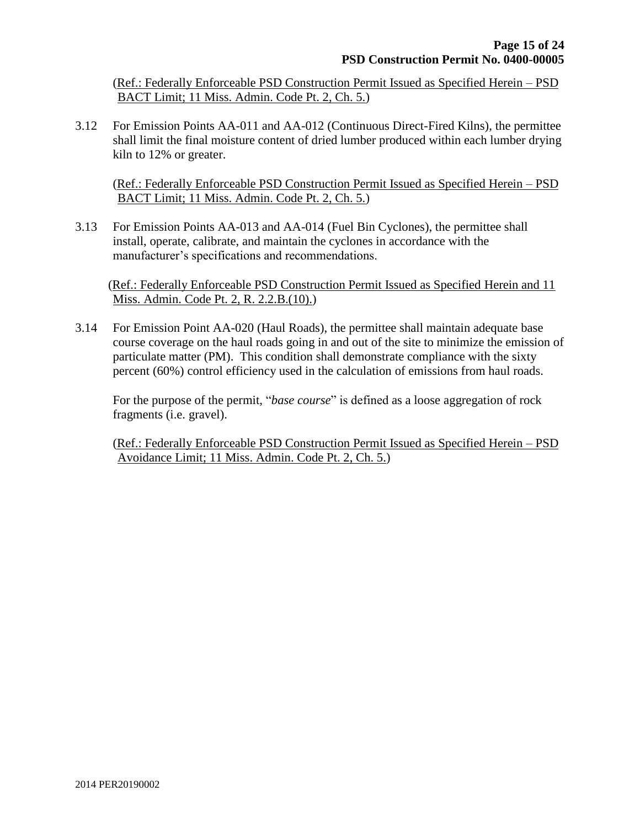(Ref.: Federally Enforceable PSD Construction Permit Issued as Specified Herein – PSD BACT Limit; 11 Miss. Admin. Code Pt. 2, Ch. 5.)

3.12 For Emission Points AA-011 and AA-012 (Continuous Direct-Fired Kilns), the permittee shall limit the final moisture content of dried lumber produced within each lumber drying kiln to 12% or greater.

(Ref.: Federally Enforceable PSD Construction Permit Issued as Specified Herein – PSD BACT Limit; 11 Miss. Admin. Code Pt. 2, Ch. 5.)

3.13 For Emission Points AA-013 and AA-014 (Fuel Bin Cyclones), the permittee shall install, operate, calibrate, and maintain the cyclones in accordance with the manufacturer's specifications and recommendations.

(Ref.: Federally Enforceable PSD Construction Permit Issued as Specified Herein and 11 Miss. Admin. Code Pt. 2, R. 2.2.B.(10).)

3.14 For Emission Point AA-020 (Haul Roads), the permittee shall maintain adequate base course coverage on the haul roads going in and out of the site to minimize the emission of particulate matter (PM). This condition shall demonstrate compliance with the sixty percent (60%) control efficiency used in the calculation of emissions from haul roads.

For the purpose of the permit, "*base course*" is defined as a loose aggregation of rock fragments (i.e. gravel).

(Ref.: Federally Enforceable PSD Construction Permit Issued as Specified Herein – PSD Avoidance Limit; 11 Miss. Admin. Code Pt. 2, Ch. 5.)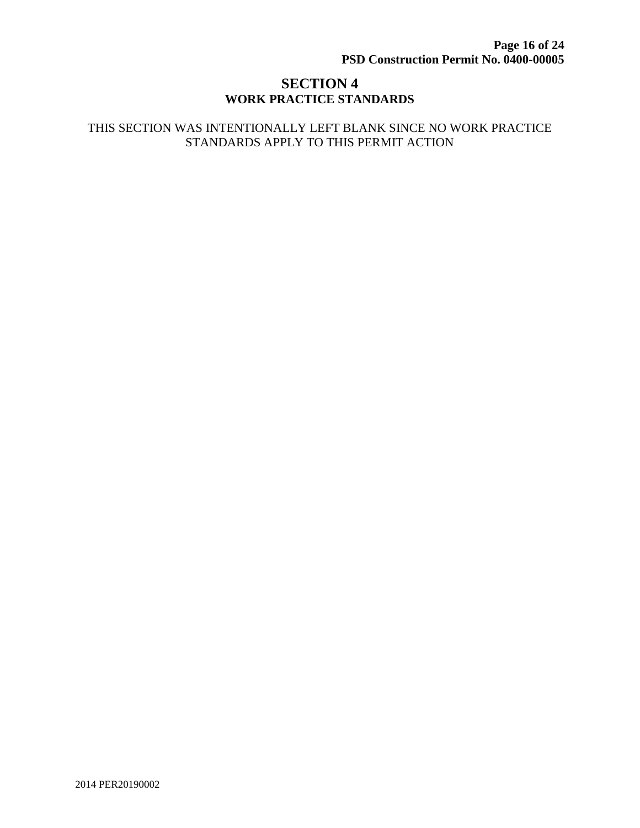# **SECTION 4 WORK PRACTICE STANDARDS**

#### THIS SECTION WAS INTENTIONALLY LEFT BLANK SINCE NO WORK PRACTICE STANDARDS APPLY TO THIS PERMIT ACTION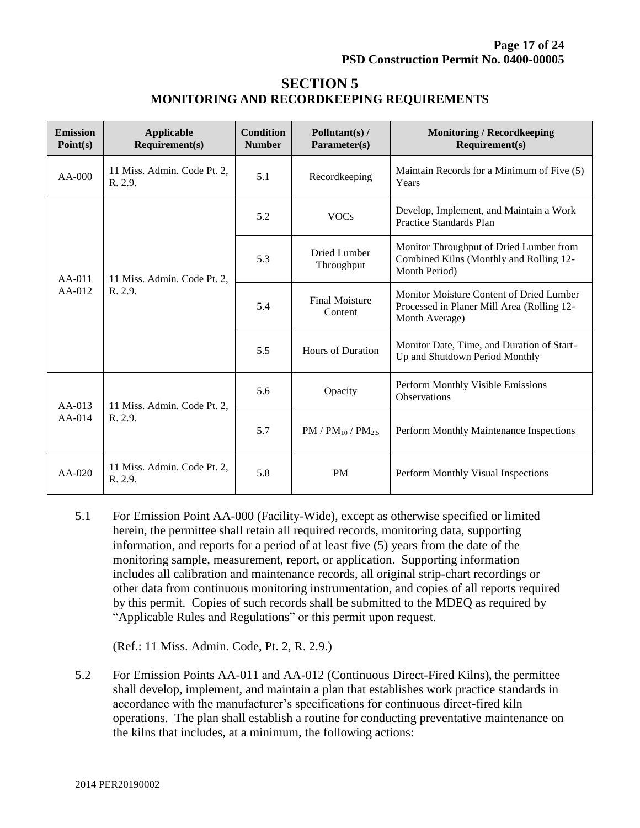# **SECTION 5 MONITORING AND RECORDKEEPING REQUIREMENTS**

| <b>Emission</b><br>Point(s) | Applicable<br>Requirement(s)           | <b>Condition</b><br><b>Number</b> | Pollutant(s) /<br>Parameter(s)   | <b>Monitoring / Recordkeeping</b><br>Required(s)                                                         |
|-----------------------------|----------------------------------------|-----------------------------------|----------------------------------|----------------------------------------------------------------------------------------------------------|
| AA-000                      | 11 Miss. Admin. Code Pt. 2,<br>R. 2.9. | 5.1                               | Recordkeeping                    | Maintain Records for a Minimum of Five (5)<br>Years                                                      |
| AA-011<br>$AA-012$          | 11 Miss. Admin. Code Pt. 2,<br>R. 2.9. | 5.2                               | <b>VOCs</b>                      | Develop, Implement, and Maintain a Work<br>Practice Standards Plan                                       |
|                             |                                        | 5.3                               | Dried Lumber<br>Throughput       | Monitor Throughput of Dried Lumber from<br>Combined Kilns (Monthly and Rolling 12-<br>Month Period)      |
|                             |                                        | 5.4                               | <b>Final Moisture</b><br>Content | Monitor Moisture Content of Dried Lumber<br>Processed in Planer Mill Area (Rolling 12-<br>Month Average) |
|                             |                                        | 5.5                               | Hours of Duration                | Monitor Date, Time, and Duration of Start-<br>Up and Shutdown Period Monthly                             |
| $AA-013$<br>$AA-014$        | 11 Miss. Admin. Code Pt. 2,<br>R. 2.9. | 5.6                               | Opacity                          | Perform Monthly Visible Emissions<br>Observations                                                        |
|                             |                                        | 5.7                               | $PM / PM_{10} / PM_{2.5}$        | Perform Monthly Maintenance Inspections                                                                  |
| $AA-020$                    | 11 Miss. Admin. Code Pt. 2,<br>R. 2.9. | 5.8                               | <b>PM</b>                        | Perform Monthly Visual Inspections                                                                       |

5.1 For Emission Point AA-000 (Facility-Wide), except as otherwise specified or limited herein, the permittee shall retain all required records, monitoring data, supporting information, and reports for a period of at least five (5) years from the date of the monitoring sample, measurement, report, or application. Supporting information includes all calibration and maintenance records, all original strip-chart recordings or other data from continuous monitoring instrumentation, and copies of all reports required by this permit. Copies of such records shall be submitted to the MDEQ as required by "Applicable Rules and Regulations" or this permit upon request.

(Ref.: 11 Miss. Admin. Code, Pt. 2, R. 2.9.)

5.2 For Emission Points AA-011 and AA-012 (Continuous Direct-Fired Kilns)**,** the permittee shall develop, implement, and maintain a plan that establishes work practice standards in accordance with the manufacturer's specifications for continuous direct-fired kiln operations. The plan shall establish a routine for conducting preventative maintenance on the kilns that includes, at a minimum, the following actions: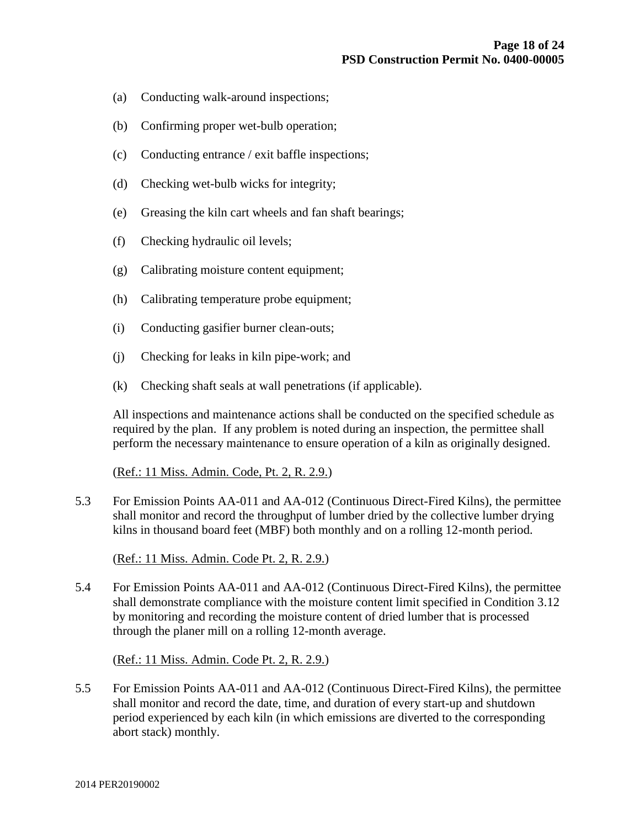- (a) Conducting walk-around inspections;
- (b) Confirming proper wet-bulb operation;
- (c) Conducting entrance / exit baffle inspections;
- (d) Checking wet-bulb wicks for integrity;
- (e) Greasing the kiln cart wheels and fan shaft bearings;
- (f) Checking hydraulic oil levels;
- (g) Calibrating moisture content equipment;
- (h) Calibrating temperature probe equipment;
- (i) Conducting gasifier burner clean-outs;
- (j) Checking for leaks in kiln pipe-work; and
- (k) Checking shaft seals at wall penetrations (if applicable).

All inspections and maintenance actions shall be conducted on the specified schedule as required by the plan. If any problem is noted during an inspection, the permittee shall perform the necessary maintenance to ensure operation of a kiln as originally designed.

(Ref.: 11 Miss. Admin. Code, Pt. 2, R. 2.9.)

5.3 For Emission Points AA-011 and AA-012 (Continuous Direct-Fired Kilns), the permittee shall monitor and record the throughput of lumber dried by the collective lumber drying kilns in thousand board feet (MBF) both monthly and on a rolling 12-month period.

(Ref.: 11 Miss. Admin. Code Pt. 2, R. 2.9.)

5.4 For Emission Points AA-011 and AA-012 (Continuous Direct-Fired Kilns), the permittee shall demonstrate compliance with the moisture content limit specified in Condition 3.12 by monitoring and recording the moisture content of dried lumber that is processed through the planer mill on a rolling 12-month average.

(Ref.: 11 Miss. Admin. Code Pt. 2, R. 2.9.)

5.5 For Emission Points AA-011 and AA-012 (Continuous Direct-Fired Kilns), the permittee shall monitor and record the date, time, and duration of every start-up and shutdown period experienced by each kiln (in which emissions are diverted to the corresponding abort stack) monthly.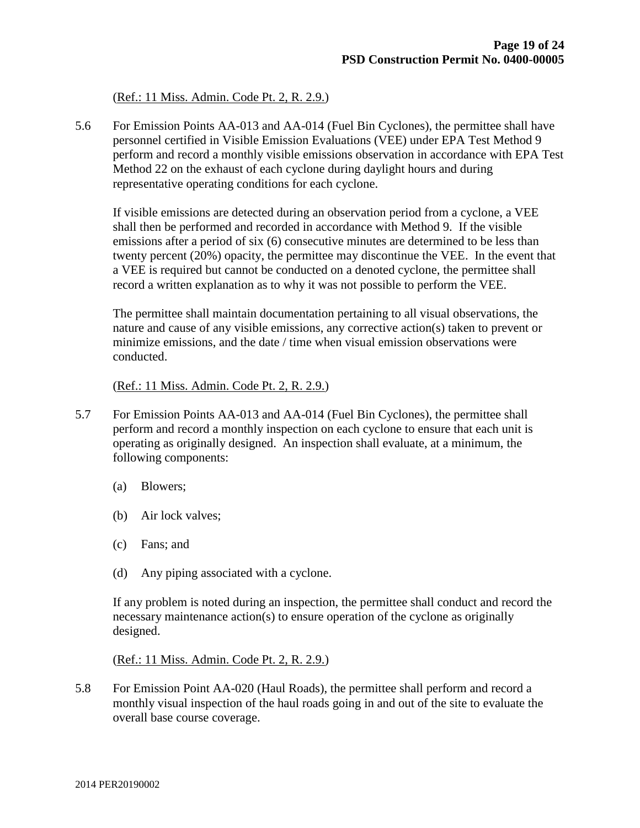(Ref.: 11 Miss. Admin. Code Pt. 2, R. 2.9.)

5.6 For Emission Points AA-013 and AA-014 (Fuel Bin Cyclones), the permittee shall have personnel certified in Visible Emission Evaluations (VEE) under EPA Test Method 9 perform and record a monthly visible emissions observation in accordance with EPA Test Method 22 on the exhaust of each cyclone during daylight hours and during representative operating conditions for each cyclone.

If visible emissions are detected during an observation period from a cyclone, a VEE shall then be performed and recorded in accordance with Method 9. If the visible emissions after a period of six (6) consecutive minutes are determined to be less than twenty percent (20%) opacity, the permittee may discontinue the VEE. In the event that a VEE is required but cannot be conducted on a denoted cyclone, the permittee shall record a written explanation as to why it was not possible to perform the VEE.

The permittee shall maintain documentation pertaining to all visual observations, the nature and cause of any visible emissions, any corrective action(s) taken to prevent or minimize emissions, and the date  $/$  time when visual emission observations were conducted.

(Ref.: 11 Miss. Admin. Code Pt. 2, R. 2.9.)

- 5.7 For Emission Points AA-013 and AA-014 (Fuel Bin Cyclones), the permittee shall perform and record a monthly inspection on each cyclone to ensure that each unit is operating as originally designed. An inspection shall evaluate, at a minimum, the following components:
	- (a) Blowers;
	- (b) Air lock valves;
	- (c) Fans; and
	- (d) Any piping associated with a cyclone.

If any problem is noted during an inspection, the permittee shall conduct and record the necessary maintenance action(s) to ensure operation of the cyclone as originally designed.

(Ref.: 11 Miss. Admin. Code Pt. 2, R. 2.9.)

5.8 For Emission Point AA-020 (Haul Roads), the permittee shall perform and record a monthly visual inspection of the haul roads going in and out of the site to evaluate the overall base course coverage.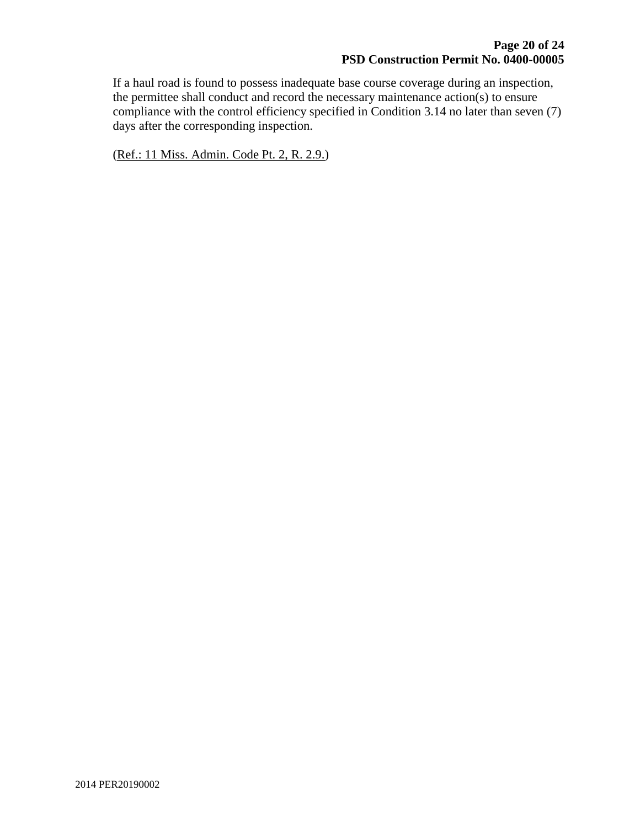If a haul road is found to possess inadequate base course coverage during an inspection, the permittee shall conduct and record the necessary maintenance action(s) to ensure compliance with the control efficiency specified in Condition 3.14 no later than seven (7) days after the corresponding inspection.

(Ref.: 11 Miss. Admin. Code Pt. 2, R. 2.9.)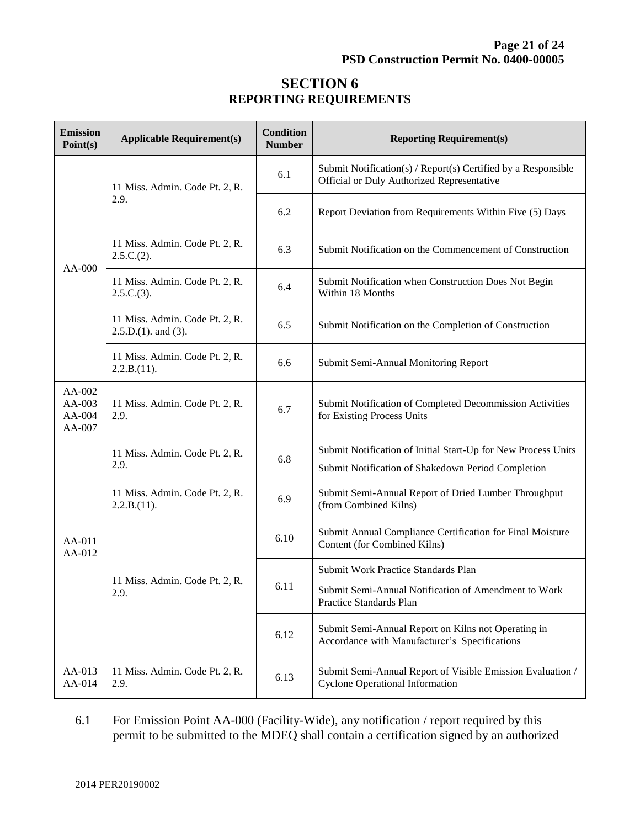# **SECTION 6 REPORTING REQUIREMENTS**

| <b>Emission</b><br>Point(s)              | <b>Applicable Requirement(s)</b>                            | <b>Condition</b><br><b>Number</b> | <b>Reporting Requirement(s)</b>                                                                                        |  |
|------------------------------------------|-------------------------------------------------------------|-----------------------------------|------------------------------------------------------------------------------------------------------------------------|--|
| $AA-000$                                 | 11 Miss. Admin. Code Pt. 2, R.                              | 6.1                               | Submit Notification(s) / Report(s) Certified by a Responsible<br>Official or Duly Authorized Representative            |  |
|                                          | 2.9.                                                        | 6.2                               | Report Deviation from Requirements Within Five (5) Days                                                                |  |
|                                          | 11 Miss. Admin. Code Pt. 2, R.<br>$2.5.C.(2)$ .             | 6.3                               | Submit Notification on the Commencement of Construction                                                                |  |
|                                          | 11 Miss. Admin. Code Pt. 2, R.<br>2.5.C.(3).                | 6.4                               | Submit Notification when Construction Does Not Begin<br>Within 18 Months                                               |  |
|                                          | 11 Miss. Admin. Code Pt. 2, R.<br>$2.5.D.(1)$ . and $(3)$ . | 6.5                               | Submit Notification on the Completion of Construction                                                                  |  |
|                                          | 11 Miss. Admin. Code Pt. 2, R.<br>2.2.B.(11).               | 6.6                               | Submit Semi-Annual Monitoring Report                                                                                   |  |
| AA-002<br>$AA-003$<br>$AA-004$<br>AA-007 | 11 Miss. Admin. Code Pt. 2, R.<br>2.9.                      | 6.7                               | Submit Notification of Completed Decommission Activities<br>for Existing Process Units                                 |  |
| AA-011<br>AA-012                         | 11 Miss. Admin. Code Pt. 2, R.<br>2.9.                      | 6.8                               | Submit Notification of Initial Start-Up for New Process Units<br>Submit Notification of Shakedown Period Completion    |  |
|                                          | 11 Miss. Admin. Code Pt. 2, R.<br>2.2.B.(11).               | 6.9                               | Submit Semi-Annual Report of Dried Lumber Throughput<br>(from Combined Kilns)                                          |  |
|                                          |                                                             | 6.10                              | Submit Annual Compliance Certification for Final Moisture<br>Content (for Combined Kilns)                              |  |
|                                          | 11 Miss. Admin. Code Pt. 2, R.<br>2.9.                      | 6.11                              | Submit Work Practice Standards Plan<br>Submit Semi-Annual Notification of Amendment to Work<br>Practice Standards Plan |  |
|                                          |                                                             | 6.12                              | Submit Semi-Annual Report on Kilns not Operating in<br>Accordance with Manufacturer's Specifications                   |  |
| AA-013<br>AA-014                         | 11 Miss. Admin. Code Pt. 2, R.<br>2.9.                      | 6.13                              | Submit Semi-Annual Report of Visible Emission Evaluation /<br><b>Cyclone Operational Information</b>                   |  |

6.1 For Emission Point AA-000 (Facility-Wide), any notification / report required by this permit to be submitted to the MDEQ shall contain a certification signed by an authorized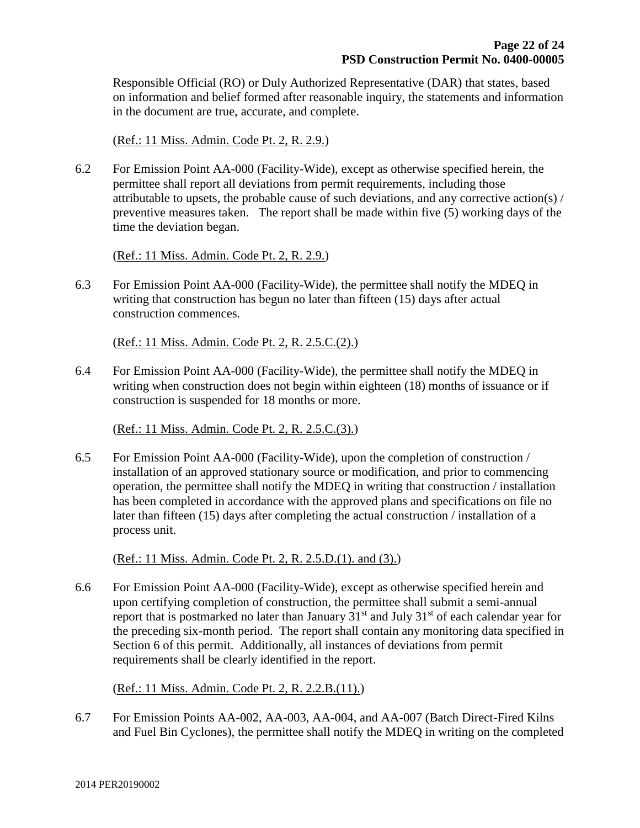Responsible Official (RO) or Duly Authorized Representative (DAR) that states, based on information and belief formed after reasonable inquiry, the statements and information in the document are true, accurate, and complete.

(Ref.: 11 Miss. Admin. Code Pt. 2, R. 2.9.)

6.2 For Emission Point AA-000 (Facility-Wide), except as otherwise specified herein, the permittee shall report all deviations from permit requirements, including those attributable to upsets, the probable cause of such deviations, and any corrective action(s) / preventive measures taken. The report shall be made within five (5) working days of the time the deviation began.

(Ref.: 11 Miss. Admin. Code Pt. 2, R. 2.9.)

6.3 For Emission Point AA-000 (Facility-Wide), the permittee shall notify the MDEQ in writing that construction has begun no later than fifteen (15) days after actual construction commences.

(Ref.: 11 Miss. Admin. Code Pt. 2, R. 2.5.C.(2).)

6.4 For Emission Point AA-000 (Facility-Wide), the permittee shall notify the MDEQ in writing when construction does not begin within eighteen (18) months of issuance or if construction is suspended for 18 months or more.

(Ref.: 11 Miss. Admin. Code Pt. 2, R. 2.5.C.(3).)

6.5 For Emission Point AA-000 (Facility-Wide), upon the completion of construction / installation of an approved stationary source or modification, and prior to commencing operation, the permittee shall notify the MDEQ in writing that construction / installation has been completed in accordance with the approved plans and specifications on file no later than fifteen (15) days after completing the actual construction / installation of a process unit.

(Ref.: 11 Miss. Admin. Code Pt. 2, R. 2.5.D.(1). and (3).)

6.6 For Emission Point AA-000 (Facility-Wide), except as otherwise specified herein and upon certifying completion of construction, the permittee shall submit a semi-annual report that is postmarked no later than January  $31<sup>st</sup>$  and July  $31<sup>st</sup>$  of each calendar year for the preceding six-month period. The report shall contain any monitoring data specified in Section 6 of this permit. Additionally, all instances of deviations from permit requirements shall be clearly identified in the report.

(Ref.: 11 Miss. Admin. Code Pt. 2, R. 2.2.B.(11).)

6.7 For Emission Points AA-002, AA-003, AA-004, and AA-007 (Batch Direct-Fired Kilns and Fuel Bin Cyclones), the permittee shall notify the MDEQ in writing on the completed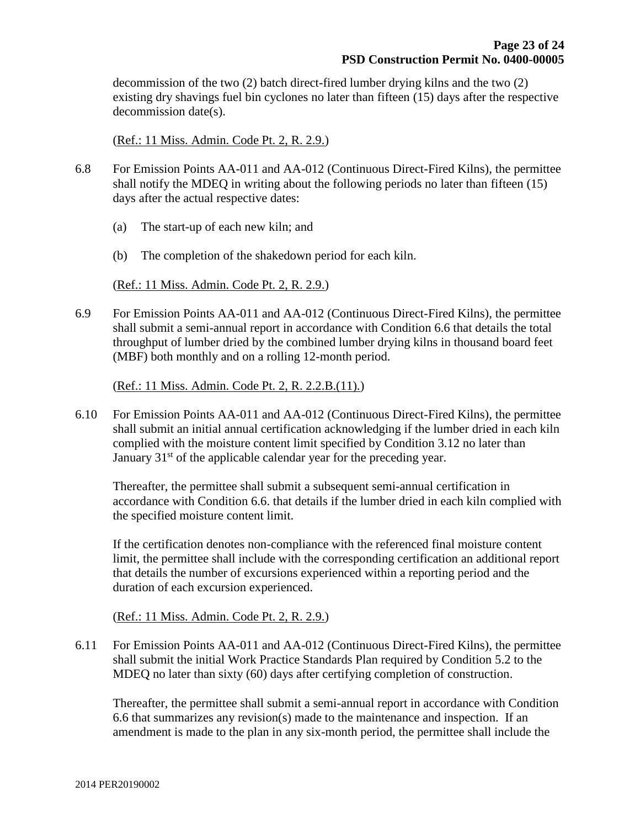decommission of the two (2) batch direct-fired lumber drying kilns and the two (2) existing dry shavings fuel bin cyclones no later than fifteen (15) days after the respective decommission date(s).

#### (Ref.: 11 Miss. Admin. Code Pt. 2, R. 2.9.)

- 6.8 For Emission Points AA-011 and AA-012 (Continuous Direct-Fired Kilns), the permittee shall notify the MDEQ in writing about the following periods no later than fifteen (15) days after the actual respective dates:
	- (a) The start-up of each new kiln; and
	- (b) The completion of the shakedown period for each kiln.

(Ref.: 11 Miss. Admin. Code Pt. 2, R. 2.9.)

6.9 For Emission Points AA-011 and AA-012 (Continuous Direct-Fired Kilns), the permittee shall submit a semi-annual report in accordance with Condition 6.6 that details the total throughput of lumber dried by the combined lumber drying kilns in thousand board feet (MBF) both monthly and on a rolling 12-month period.

(Ref.: 11 Miss. Admin. Code Pt. 2, R. 2.2.B.(11).)

6.10 For Emission Points AA-011 and AA-012 (Continuous Direct-Fired Kilns), the permittee shall submit an initial annual certification acknowledging if the lumber dried in each kiln complied with the moisture content limit specified by Condition 3.12 no later than January  $31<sup>st</sup>$  of the applicable calendar year for the preceding year.

Thereafter, the permittee shall submit a subsequent semi-annual certification in accordance with Condition 6.6. that details if the lumber dried in each kiln complied with the specified moisture content limit.

If the certification denotes non-compliance with the referenced final moisture content limit, the permittee shall include with the corresponding certification an additional report that details the number of excursions experienced within a reporting period and the duration of each excursion experienced.

(Ref.: 11 Miss. Admin. Code Pt. 2, R. 2.9.)

6.11 For Emission Points AA-011 and AA-012 (Continuous Direct-Fired Kilns), the permittee shall submit the initial Work Practice Standards Plan required by Condition 5.2 to the MDEQ no later than sixty (60) days after certifying completion of construction.

Thereafter, the permittee shall submit a semi-annual report in accordance with Condition 6.6 that summarizes any revision(s) made to the maintenance and inspection. If an amendment is made to the plan in any six-month period, the permittee shall include the